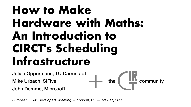# **How to Make Hardware with Maths: An Introduction to CIRCT's Scheduling Infrastructure**

Julian Oppermann, TU Darmstadt Mike Urbach, SiFive John Demme, Microsoft the  $\begin{array}{|c|c|}\n\hline\n\end{array}$  community

*European LLVM Developers' Meeting — London, UK — May 11, 2022*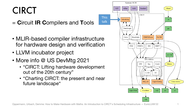### CIRCT

= **C**ircuit **IR C**ompilers and **T**ools

- MLIR-based compiler infrastructure for hardware design and verification
- LLVM incubator project
- More info @ US DevMtg 2021
	- "CIRCT: Lifting hardware development out of the 20th century"
	- "Charting CIRCT: the present and near future landscape"



This

talk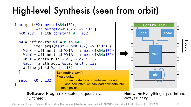### High-level Synthesis (seen from orbit)



Oppermann, Urbach, Demme: How to Make Hardware with Maths: An Introduction to CIRCT's Scheduling Infrastructure — EuroLLVM'22 2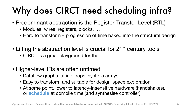## Why does CIRCT need scheduling infra?

- Predominant abstraction is the Register-Transfer-Level (RTL)
	- Modules, wires, registers, clocks, …
	- Hard to transform progression of time baked into the structural design
- Lifting the abstraction level is crucial for 21<sup>st</sup> century tools
	- CIRCT is a great playground for that
- Higher-level IRs are often untimed
	- Dataflow graphs, affine loops, systolic arrays, …
	- Easy to transform and suitable for design-space exploration!
	- At some point, lower to latency-insensitive hardware (handshakes), or **schedule** at compile time (and synthesise controller)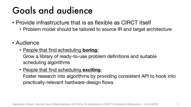#### Goals and audience

- Provide infrastructure that is as flexible as CIRCT itself
	- Problem model should be tailored to source IR and target architecture
- Audience
	- People that find scheduling **boring**:

Grow a library of ready-to-use problem definitions and suitable scheduling algorithms

• People that find scheduling **exciting**:

Foster research into algorithms by providing consistent API to hook into practically-relevant hardware-design flows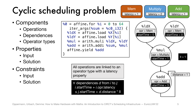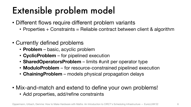#### Extensible problem model

- Different flows require different problem variants
	- Properties + Constraints = Reliable contract between client & algorithm
- Currently defined problems
	- **Problem** basic, acyclic problem
	- **CyclicProblem** for pipelined execution
	- **SharedOperatorsProblem** limits #unit per operator type
	- **ModuloProblem** for resource-constrained pipelined execution
	- **ChainingProblem** models physical propagation delays
- Mix-and-match and extend to define your own problems!
	- Add properties, add/refine constraints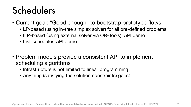#### Schedulers

- Current goal: "Good enough" to bootstrap prototype flows
	- LP-based (using in-tree simplex solver) for all pre-defined problems
	- ILP-based (using external solver via OR-Tools): API demo
	- List-scheduler: API demo
- Problem models provide a consistent API to implement scheduling algorithms
	- Infrastructure is not limited to linear programming
	- Anything (satisfying the solution constraints) goes!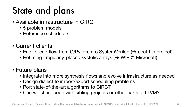#### State and plans

- Available infrastructure in CIRCT
	- 5 problem models
	- Reference schedulers
- Current clients
	- End-to-end flow from C/PyTorch to SystemVerilog  $(\rightarrow$  circt-hls project)
	- Retiming irregularly-placed systolic arrays  $(\rightarrow$  WIP @ Microsoft)
- Future plans
	- Integrate into more synthesis flows and evolve infrastructure as needed
	- Design dialect to import/export scheduling problems
	- Port state-of-the-art algorithms to CIRCT
	- Can we share code with sibling projects or other parts of LLVM?